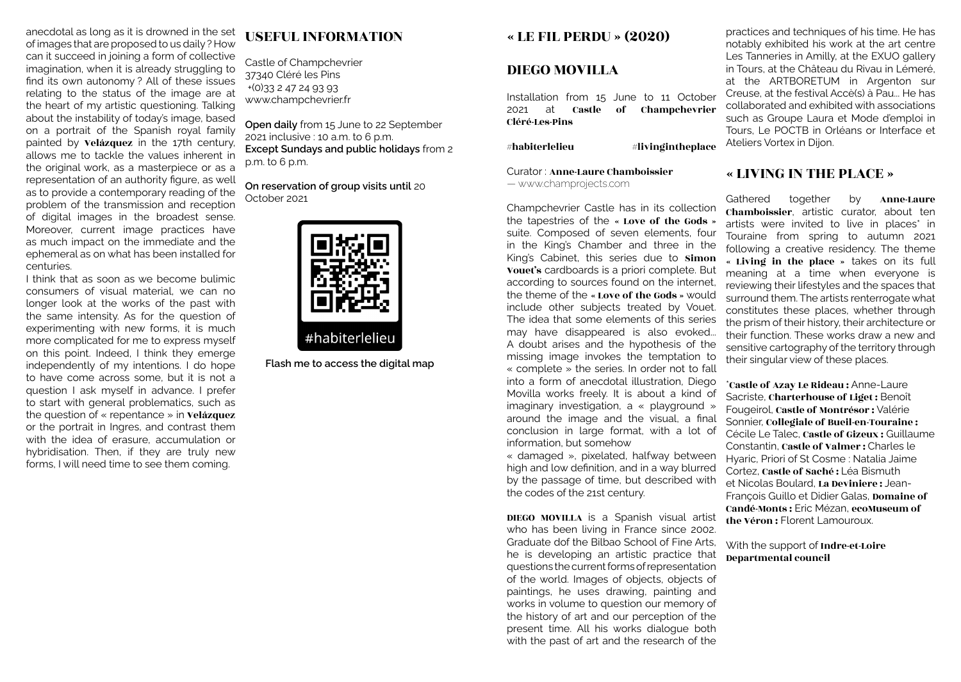anecdotal as long as it is drowned in the set of images that are proposed to us daily ? How can it succeed in joining a form of collective imagination, when it is already struggling to find its own autonomy ? All of these issues relating to the status of the image are at the heart of my artistic questioning. Talking about the instability of today's image, based on a portrait of the Spanish royal family painted by Velázquez in the 17th century, allows me to tackle the values inherent in the original work, as a masterpiece or as a representation of an authority figure, as well as to provide a contemporary reading of the problem of the transmission and reception of digital images in the broadest sense. Moreover, current image practices have as much impact on the immediate and the ephemeral as on what has been installed for centuries.

I think that as soon as we become bulimic consumers of visual material, we can no longer look at the works of the past with the same intensity. As for the question of experimenting with new forms, it is much more complicated for me to express myself on this point. Indeed, I think they emerge independently of my intentions. I do hope to have come across some, but it is not a question I ask myself in advance. I prefer to start with general problematics, such as the question of « repentance » in **Velázquez** or the portrait in Ingres, and contrast them with the idea of erasure, accumulation or hybridisation. Then, if they are truly new forms, I will need time to see them coming.

# USEFUL INFORMATION

Castle of Champchevrier 37340 Cléré les Pins +(0)33 2 47 24 93 93 www.champchevrier.fr

**Open daily** from 15 June to 22 September 2021 inclusive : 10 a.m. to 6 p.m. **Except Sundays and public holidays** from 2 p.m. to 6 p.m.

**On reservation of group visits until** 20 October 2021



**Flash me to access the digital map**

### « LE FIL PERDU » (2020)

## DIEGO MOVILLA

Installation from 15 June to 11 October 2021 at Castle of Champchevrier Cléré-Les-Pins

 $#$ habiterlelieu  $#$ livingintheplace

Curator : Anne-Laure Chamboissier — www.champrojects.com

Champchevrier Castle has in its collection the tapestries of the « Love of the Gods » suite. Composed of seven elements, four in the King's Chamber and three in the King's Cabinet, this series due to Simon Vouet's cardboards is a priori complete. But according to sources found on the internet, the theme of the « Love of the Gods » would include other subjects treated by Vouet. The idea that some elements of this series may have disappeared is also evoked... A doubt arises and the hypothesis of the missing image invokes the temptation to « complete » the series. In order not to fall into a form of anecdotal illustration, Diego Movilla works freely. It is about a kind of imaginary investigation, a « playground » around the image and the visual, a final conclusion in large format, with a lot of information, but somehow

« damaged », pixelated, halfway between high and low definition, and in a way blurred by the passage of time, but described with the codes of the 21st century.

DIEGO MOVILLA is a Spanish visual artist who has been living in France since 2002. Graduate dof the Bilbao School of Fine Arts, he is developing an artistic practice that questions the current forms of representation of the world. Images of objects, objects of paintings, he uses drawing, painting and works in volume to question our memory of the history of art and our perception of the present time. All his works dialogue both with the past of art and the research of the

practices and techniques of his time. He has notably exhibited his work at the art centre Les Tanneries in Amilly, at the EXUO gallery in Tours, at the Château du Rivau in Lémeré, at the ARTBORETUM in Argenton sur Creuse, at the festival Accè(s) à Pau... He has collaborated and exhibited with associations such as Groupe Laura et Mode d'emploi in Tours, Le POCTB in Orléans or Interface et Ateliers Vortex in Dijon.

# « LIVING IN THE PLACE »

Gathered together by Anne-Laure Chamboissier, artistic curator, about ten artists were invited to live in places\* in Touraine from spring to autumn 2021 following a creative residency. The theme « Living in the place » takes on its full meaning at a time when everyone is reviewing their lifestyles and the spaces that surround them. The artists renterrogate what constitutes these places, whether through the prism of their history, their architecture or their function. These works draw a new and sensitive cartography of the territory through their singular view of these places.

\*Castle of Azay Le Rideau : Anne-Laure Sacriste, Charterhouse of Liget : Benoît Fougeirol, Castle of Montrésor : Valérie Sonnier, Collegiale of Bueil-en-Touraine : Cécile Le Talec, Castle of Gizeux : Guillaume Constantin, Castle of Valmer : Charles le Hyaric, Priori of St Cosme : Natalia Jaime Cortez, Castle of Saché : Léa Bismuth et Nicolas Boulard, La Deviniere : Jean-François Guillo et Didier Galas, Domaine of Candé-Monts : Eric Mézan, ecoMuseum of the Véron : Florent Lamouroux.

### With the support of Indre-et-Loire Departmental council